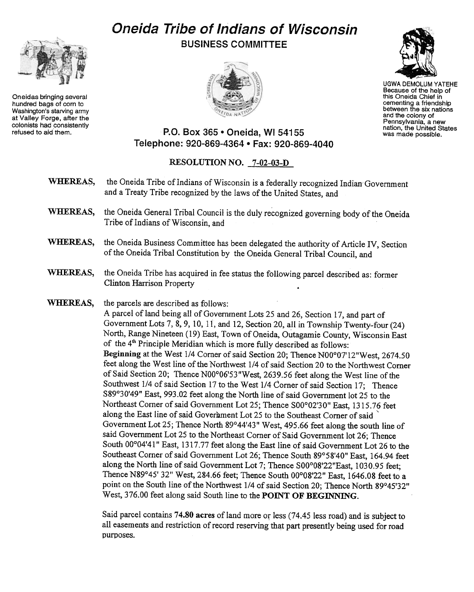## Oneida Tribe of Indians of Wisconsin BUSINESS COMMITTEE



Oneidas bringing several hundred bags of corn to Washington's starving army at Valley Forge, after the colonists had consistently<br>refused to aid them.





UGWA DEMOLUM YATEHE Because of the help of this Oneida Chief in cementing a friendship between the six nations and the colony of Pennsylvania, a new nation, the United States was made possible.

## P.O. Box 365 . Oneida, WI 54155 Telephone: 920-869-4364 . Fax: 920-869-4040

## RESOLUTION NO. 7-02-03-D

- the Oneida Tribe of Indians of Wisconsin is a federally recognized Indian'Government WHEREAS, and a Treaty Tribe recognized by the laws of the United States, and
- WHEREAS, the Oneida General Tribal Council is the duly recognized governing body of the Oneida Tribe of Indians of Wisconsin, and
- WHEREAS, the Oneida Business Committee has been delegated the authority of Article IV, Section of the Oneida Tribal Constitution by the Oneida General Tribal Council, and
- WHEREAS, the Oneida Tribe has acquired in fee status the following parcel described as: former Clinton Harrison Property .
- WHEREAS, the parcels are described as follows:

A parcel of land being all of Government Lots 25 and 26, Section 17, and part of Government Lots 7, 8, 9, 10, 11, and 12, Section 20, all in Township Twenty-four  $(24)$ North, Range Nineteen (19) East, Town of Oneida, Outagamie County, Wisconsin East of the  $4<sup>th</sup>$  Principle Meridian which is more fully described as follows: Beginning at the West 1/4 Corner of said Section 20; Thence N00°07'12"West, 2674.50 feet along the West line of the Northwest 1/4 of said Section 20 to the Northwest Comer of Said Section 20; Thence N00°06'53"West, 2639.56 feet along the West line of the Southwest 1/4 of said Section 17 to the West 1/4 Corner of said Section 17; Thence S89°30'49" East, 993.02 feet along the North line of said Government lot 25 to the Northeast Corner of said Government Lot 25; Thence S00°02'30" East, 1315.76 feet along the East line of said Government Lot 25 to the Southeast Corner of said ` Government Lot 25; Thence North 89°44'43" West, 495.66 feet along the south line of said Government Lot 25 to the Northeast Corner of Said Government lot 26; Thence South 00°04'41" East, 1317.77 feet along the East line of said Government Lot 26 to the Southeast Comer of said Government Lot 26; Thence South 89°58'40" East, 164.94 feet along the North line of said Government Lot 7; Thence S00°08'22"East, 1030.95 feet; Thence N89°45' 32" West, 284.66 feet; Thence South 00°08'22" East, 1646.08 feet to a point on the South line of the Northwest 1/4 of said Section 20; Thence North 89°45'32" West, 376.00 feet along said South line to the POINT OF BEGINNING.

Said parcel contains 74.80 acres of land more or less (74.45 less road) and is subject to all easements and restriction of record reserving that part presently being used for road purposes..